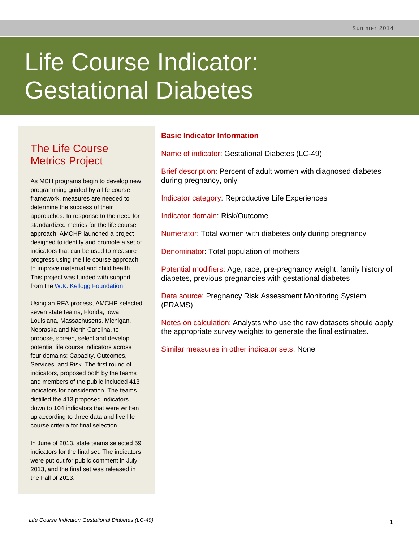# Life Course Indicator: Gestational Diabetes

# The Life Course Metrics Project

As MCH programs begin to develop new programming guided by a life course framework, measures are needed to determine the success of their approaches. In response to the need for standardized metrics for the life course approach, AMCHP launched a project designed to identify and promote a set of indicators that can be used to measure progress using the life course approach to improve maternal and child health. This project was funded with support from the [W.K. Kellogg Foundation.](http://www.wkkf.org/)

Using an RFA process, AMCHP selected seven state teams, Florida, Iowa, Louisiana, Massachusetts, Michigan, Nebraska and North Carolina, to propose, screen, select and develop potential life course indicators across four domains: Capacity, Outcomes, Services, and Risk. The first round of indicators, proposed both by the teams and members of the public included 413 indicators for consideration. The teams distilled the 413 proposed indicators down to 104 indicators that were written up according to three data and five life course criteria for final selection.

In June of 2013, state teams selected 59 indicators for the final set. The indicators were put out for public comment in July 2013, and the final set was released in the Fall of 2013.

## **Basic Indicator Information**

Name of indicator: Gestational Diabetes (LC-49)

Brief description: Percent of adult women with diagnosed diabetes during pregnancy, only

Indicator category: Reproductive Life Experiences

Indicator domain: Risk/Outcome

Numerator: Total women with diabetes only during pregnancy

Denominator: Total population of mothers

Potential modifiers: Age, race, pre-pregnancy weight, family history of diabetes, previous pregnancies with gestational diabetes

Data source: Pregnancy Risk Assessment Monitoring System (PRAMS)

Notes on calculation: Analysts who use the raw datasets should apply the appropriate survey weights to generate the final estimates.

Similar measures in other indicator sets: None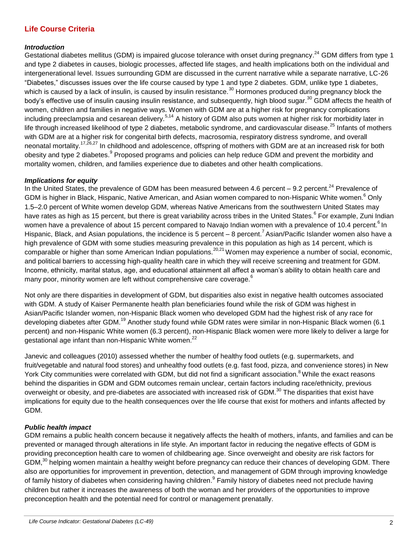### **Life Course Criteria**

#### *Introduction*

Gestational diabetes mellitus (GDM) is impaired glucose tolerance with onset during pregnancy.<sup>24</sup> GDM differs from type 1 and type 2 diabetes in causes, biologic processes, affected life stages, and health implications both on the individual and intergenerational level. Issues surrounding GDM are discussed in the current narrative while a separate narrative, LC-26 "Diabetes," discusses issues over the life course caused by type 1 and type 2 diabetes. GDM, unlike type 1 diabetes, which is caused by a lack of insulin, is caused by insulin resistance.<sup>30</sup> Hormones produced during pregnancy block the body's effective use of insulin causing insulin resistance, and subsequently, high blood sugar.<sup>30</sup> GDM affects the health of women, children and families in negative ways. Women with GDM are at a higher risk for pregnancy complications including preeclampsia and cesarean delivery.<sup>5,14</sup> A history of GDM also puts women at higher risk for morbidity later in life through increased likelihood of type 2 diabetes, metabolic syndrome, and cardiovascular disease.<sup>25</sup> Infants of mothers with GDM are at a higher risk for congenital birth defects, macrosomia, respiratory distress syndrome, and overall neonatal mortality.<sup>17,26,27</sup> In childhood and adolescence, offspring of mothers with GDM are at an increased risk for both obesity and type 2 diabetes.<sup>9</sup> Proposed programs and policies can help reduce GDM and prevent the morbidity and mortality women, children, and families experience due to diabetes and other health complications.

#### *Implications for equity*

In the United States, the prevalence of GDM has been measured between 4.6 percent – 9.2 percent.<sup>24</sup> Prevalence of GDM is higher in Black, Hispanic, Native American, and Asian women compared to non-Hispanic White women.<sup>6</sup> Only 1.5–2.0 percent of White women develop GDM, whereas Native Americans from the southwestern United States may have rates as high as 15 percent, but there is great variability across tribes in the United States.<sup>6</sup> For example, Zuni Indian women have a prevalence of about 15 percent compared to Navajo Indian women with a prevalence of 10.4 percent.<sup>6</sup> In Hispanic, Black, and Asian populations, the incidence is 5 percent – 8 percent.<sup>7</sup> Asian/Pacific Islander women also have a high prevalence of GDM with some studies measuring prevalence in this population as high as 14 percent, which is comparable or higher than some American Indian populations.<sup>20,21</sup> Women may experience a number of social, economic, and political barriers to accessing high-quality health care in which they will receive screening and treatment for GDM. Income, ethnicity, marital status, age, and educational attainment all affect a woman's ability to obtain health care and many poor, minority women are left without comprehensive care coverage.<sup>6</sup>

Not only are there disparities in development of GDM, but disparities also exist in negative health outcomes associated with GDM. A study of Kaiser Permanente health plan beneficiaries found while the risk of GDM was highest in Asian/Pacific Islander women, non-Hispanic Black women who developed GDM had the highest risk of any race for developing diabetes after GDM.<sup>19</sup> Another study found while GDM rates were similar in non-Hispanic Black women (6.1 percent) and non-Hispanic White women (6.3 percent), non-Hispanic Black women were more likely to deliver a large for gestational age infant than non-Hispanic White women.<sup>22</sup>

Janevic and colleagues (2010) assessed whether the number of healthy food outlets (e.g. supermarkets, and fruit/vegetable and natural food stores) and unhealthy food outlets (e.g. fast food, pizza, and convenience stores) in New York City communities were correlated with GDM, but did not find a significant association.<sup>8</sup> While the exact reasons behind the disparities in GDM and GDM outcomes remain unclear, certain factors including race/ethnicity, previous overweight or obesity, and pre-diabetes are associated with increased risk of GDM.<sup>30</sup> The disparities that exist have implications for equity due to the health consequences over the life course that exist for mothers and infants affected by GDM.

#### *Public health impact*

GDM remains a public health concern because it negatively affects the health of mothers, infants, and families and can be prevented or managed through alterations in life style. An important factor in reducing the negative effects of GDM is providing preconception health care to women of childbearing age. Since overweight and obesity are risk factors for GDM,<sup>30</sup> helping women maintain a healthy weight before pregnancy can reduce their chances of developing GDM. There also are opportunities for improvement in prevention, detection, and management of GDM through improving knowledge of family history of diabetes when considering having children.<sup>9</sup> Family history of diabetes need not preclude having children but rather it increases the awareness of both the woman and her providers of the opportunities to improve preconception health and the potential need for control or management prenatally.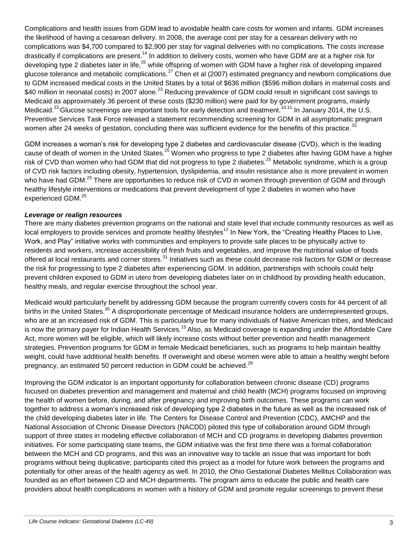Complications and health issues from GDM lead to avoidable health care costs for women and infants. GDM increases the likelihood of having a cesarean delivery. In 2008, the average cost per stay for a cesarean delivery with no complications was \$4,700 compared to \$2,900 per stay for vaginal deliveries with no complications. The costs increase drastically if complications are present.<sup>14</sup> In addition to delivery costs, women who have GDM are at a higher risk for developing type 2 diabetes later in life,<sup>25</sup> while offspring of women with GDM have a higher risk of developing impaired glucose tolerance and metabolic complications.<sup>27</sup> Chen et al (2007) estimated pregnancy and newborn complications due to GDM increased medical costs in the United States by a total of \$636 million (\$596 million dollars in maternal costs and \$40 million in neonatal costs) in 2007 alone.<sup>23</sup> Reducing prevalence of GDM could result in significant cost savings to Medicaid as approximately 36 percent of these costs (\$230 million) were paid for by government programs, mainly Medicaid.<sup>23</sup> Glucose screenings are important tools for early detection and treatment.<sup>10,11</sup> In January 2014, the U.S. Preventive Services Task Force released a statement recommending screening for GDM in all asymptomatic pregnant women after 24 weeks of gestation, concluding there was sufficient evidence for the benefits of this practice.<sup>32</sup>

GDM increases a woman's risk for developing type 2 diabetes and cardiovascular disease (CVD), which is the leading cause of death of women in the United States.<sup>25</sup> Women who progress to type 2 diabetes after having GDM have a higher risk of CVD than women who had GDM that did not progress to type 2 diabetes.<sup>25</sup> Metabolic syndrome, which is a group of CVD risk factors including obesity, hypertension, dyslipidemia, and insulin resistance also is more prevalent in women who have had GDM.<sup>25</sup> There are opportunities to reduce risk of CVD in women through prevention of GDM and through healthy lifestyle interventions or medications that prevent development of type 2 diabetes in women who have experienced GDM.<sup>25</sup>

#### *Leverage or realign resources*

There are many diabetes prevention programs on the national and state level that include community resources as well as local employers to provide services and promote healthy lifestyles<sup>12</sup> In New York, the "Creating Healthy Places to Live, Work, and Play" initiative works with communities and employers to provide safe places to be physically active to residents and workers, increase accessibility of fresh fruits and vegetables, and improve the nutritional value of foods offered at local restaurants and corner stores.<sup>31</sup> Initiatives such as these could decrease risk factors for GDM or decrease the risk for progressing to type 2 diabetes after experiencing GDM. In addition, partnerships with schools could help prevent children exposed to GDM in utero from developing diabetes later on in childhood by providing health education, healthy meals, and regular exercise throughout the school year.

Medicaid would particularly benefit by addressing GDM because the program currently covers costs for 44 percent of all births in the United States.<sup>35</sup> A disproportionate percentage of Medicaid insurance holders are underrepresented groups, who are at an increased risk of GDM. This is particularly true for many individuals of Native American tribes, and Medicaid is now the primary payer for Indian Health Services.<sup>15</sup> Also, as Medicaid coverage is expanding under the Affordable Care Act, more women will be eligible, which will likely increase costs without better prevention and health management strategies. Prevention programs for GDM in female Medicaid beneficiaries, such as programs to help maintain healthy weight, could have additional health benefits. If overweight and obese women were able to attain a healthy weight before pregnancy, an estimated 50 percent reduction in GDM could be achieved.<sup>29</sup>

Improving the GDM indicator is an important opportunity for collaboration between chronic disease (CD) programs focused on diabetes prevention and management and maternal and child health (MCH) programs focused on improving the health of women before, during, and after pregnancy and improving birth outcomes. These programs can work together to address a woman's increased risk of developing type 2 diabetes in the future as well as the increased risk of the child developing diabetes later in life. The Centers for Disease Control and Prevention (CDC), AMCHP and the National Association of Chronic Disease Directors (NACDD) piloted this type of collaboration around GDM through support of three states in modeling effective collaboration of MCH and CD programs in developing diabetes prevention initiatives. For some participating state teams, the GDM initiative was the first time there was a formal collaboration between the MCH and CD programs, and this was an innovative way to tackle an issue that was important for both programs without being duplicative; participants cited this project as a model for future work between the programs and potentially for other areas of the health agency as well. In 2010, the Ohio Gestational Diabetes Mellitus Collaboration was founded as an effort between CD and MCH departments. The program aims to educate the public and health care providers about health complications in women with a history of GDM and promote regular screenings to prevent these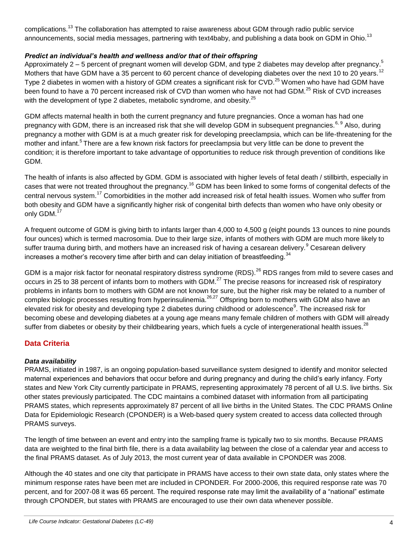complications.<sup>13</sup> The collaboration has attempted to raise awareness about GDM through radio public service announcements, social media messages, partnering with text4baby, and publishing a data book on GDM in Ohio.<sup>13</sup>

#### *Predict an individual's health and wellness and/or that of their offspring*

Approximately 2 – 5 percent of pregnant women will develop GDM, and type 2 diabetes may develop after pregnancy.<sup>5</sup> Mothers that have GDM have a 35 percent to 60 percent chance of developing diabetes over the next 10 to 20 years.<sup>12</sup> Type 2 diabetes in women with a history of GDM creates a significant risk for CVD.<sup>25</sup> Women who have had GDM have been found to have a 70 percent increased risk of CVD than women who have not had GDM.<sup>25</sup> Risk of CVD increases with the development of type 2 diabetes, metabolic syndrome, and obesity.<sup>25</sup>

GDM affects maternal health in both the current pregnancy and future pregnancies. Once a woman has had one pregnancy with GDM, there is an increased risk that she will develop GDM in subsequent pregnancies.<sup>6, 9</sup> Also, during pregnancy a mother with GDM is at a much greater risk for developing preeclampsia, which can be life-threatening for the mother and infant.<sup>5</sup> There are a few known risk factors for preeclampsia but very little can be done to prevent the condition; it is therefore important to take advantage of opportunities to reduce risk through prevention of conditions like GDM.

The health of infants is also affected by GDM. GDM is associated with higher levels of fetal death / stillbirth, especially in cases that were not treated throughout the pregnancy.<sup>16</sup> GDM has been linked to some forms of congenital defects of the central nervous system.<sup>17</sup> Comorbidities in the mother add increased risk of fetal health issues. Women who suffer from both obesity and GDM have a significantly higher risk of congenital birth defects than women who have only obesity or only GDM.<sup>17</sup>

A frequent outcome of GDM is giving birth to infants larger than 4,000 to 4,500 g (eight pounds 13 ounces to nine pounds four ounces) which is termed macrosomia. Due to their large size, infants of mothers with GDM are much more likely to suffer trauma during birth, and mothers have an increased risk of having a cesarean delivery.<sup>9</sup> Cesarean delivery increases a mother's recovery time after birth and can delay initiation of breastfeeding.<sup>34</sup>

GDM is a major risk factor for neonatal respiratory distress syndrome (RDS).<sup>26</sup> RDS ranges from mild to severe cases and occurs in 25 to 38 percent of infants born to mothers with GDM.<sup>27</sup> The precise reasons for increased risk of respiratory problems in infants born to mothers with GDM are not known for sure, but the higher risk may be related to a number of complex biologic processes resulting from hyperinsulinemia.<sup>26,27</sup> Offspring born to mothers with GDM also have an elevated risk for obesity and developing type 2 diabetes during childhood or adolescence<sup>9</sup>. The increased risk for becoming obese and developing diabetes at a young age means many female children of mothers with GDM will already suffer from diabetes or obesity by their childbearing years, which fuels a cycle of intergenerational health issues.<sup>28</sup>

#### **Data Criteria**

#### *Data availability*

PRAMS, initiated in 1987, is an ongoing population-based surveillance system designed to identify and monitor selected maternal experiences and behaviors that occur before and during pregnancy and during the child's early infancy. Forty states and New York City currently participate in PRAMS, representing approximately 78 percent of all U.S. live births. Six other states previously participated. The CDC maintains a combined dataset with information from all participating PRAMS states, which represents approximately 87 percent of all live births in the United States. The CDC PRAMS Online Data for Epidemiologic Research (CPONDER) is a Web-based query system created to access data collected through PRAMS surveys.

The length of time between an event and entry into the sampling frame is typically two to six months. Because PRAMS data are weighted to the final birth file, there is a data availability lag between the close of a calendar year and access to the final PRAMS dataset. As of July 2013, the most current year of data available in CPONDER was 2008.

Although the 40 states and one city that participate in PRAMS have access to their own state data, only states where the minimum response rates have been met are included in CPONDER. For 2000-2006, this required response rate was 70 percent, and for 2007-08 it was 65 percent. The required response rate may limit the availability of a "national" estimate through CPONDER, but states with PRAMS are encouraged to use their own data whenever possible.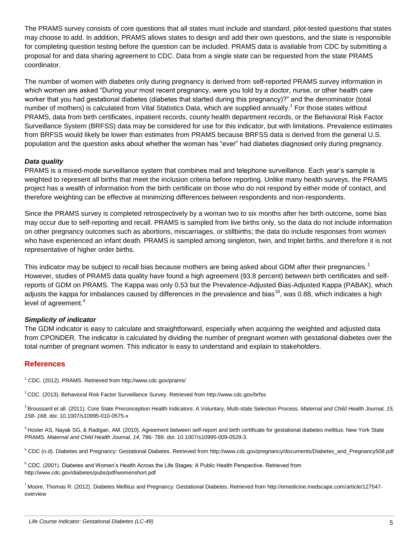The PRAMS survey consists of core questions that all states must include and standard, pilot-tested questions that states may choose to add. In addition, PRAMS allows states to design and add their own questions, and the state is responsible for completing question testing before the question can be included. PRAMS data is available from CDC by submitting a proposal for and data sharing agreement to CDC. Data from a single state can be requested from the state PRAMS coordinator.

The number of women with diabetes only during pregnancy is derived from self-reported PRAMS survey information in which women are asked "During your most recent pregnancy, were you told by a doctor, nurse, or other health care worker that you had gestational diabetes (diabetes that started during this pregnancy)?" and the denominator (total number of mothers) is calculated from Vital Statistics Data, which are supplied annually.<sup>1</sup> For those states without PRAMS, data from birth certificates, inpatient records, county health department records, or the Behavioral Risk Factor Surveillance System (BRFSS) data may be considered for use for this indicator, but with limitations. Prevalence estimates from BRFSS would likely be lower than estimates from PRAMS because BRFSS data is derived from the general U.S. population and the question asks about whether the woman has "ever" had diabetes diagnosed only during pregnancy.

#### *Data quality*

PRAMS is a mixed-mode surveillance system that combines mail and telephone surveillance. Each year's sample is weighted to represent all births that meet the inclusion criteria before reporting. Unlike many health surveys, the PRAMS project has a wealth of information from the birth certificate on those who do not respond by either mode of contact, and therefore weighting can be effective at minimizing differences between respondents and non-respondents.

Since the PRAMS survey is completed retrospectively by a woman two to six months after her birth outcome, some bias may occur due to self-reporting and recall. PRAMS is sampled from live births only, so the data do not include information on other pregnancy outcomes such as abortions, miscarriages, or stillbirths; the data do include responses from women who have experienced an infant death. PRAMS is sampled among singleton, twin, and triplet births, and therefore it is not representative of higher order births.

This indicator may be subject to recall bias because mothers are being asked about GDM after their pregnancies.<sup>1</sup> However, studies of PRAMS data quality have found a high agreement (93.8 percent) between birth certificates and selfreports of GDM on PRAMS. The Kappa was only 0.53 but the Prevalence-Adjusted Bias-Adjusted Kappa (PABAK), which adjusts the kappa for imbalances caused by differences in the prevalence and bias<sup>18</sup>, was 0.88, which indicates a high level of agreement.<sup>4</sup>

#### *Simplicity of indicator*

The GDM indicator is easy to calculate and straightforward, especially when acquiring the weighted and adjusted data from CPONDER. The indicator is calculated by dividing the number of pregnant women with gestational diabetes over the total number of pregnant women. This indicator is easy to understand and explain to stakeholders.

#### **References**

<sup>1</sup> CDC. (2012). PRAMS. Retrieved from http://www.cdc.gov/prams/

<sup>2</sup>CDC. (2013). Behavioral Risk Factor Surveillance Survey. Retrieved from http://www.cdc.gov/brfss

<sup>3</sup>Broussard et all. (2011). Core State Preconception Health Indicators: A Voluntary, Multi-state Selection Process. *Maternal and Child Health Journal, 15, 158- 168.* doi: 10.1007/s10995-010-0575-x

<sup>4</sup> Hosler AS, Nayak SG, & Radigan, AM. (2010). Agreement between self-report and birth certificate for gestational diabetes mellitus: New York State PRAMS. *Maternal and Child Health Journal, 14,* 786- 789. doi: 10.1007/s10995-009-0529-3.

<sup>5</sup> CDC (n.d). Diabetes and Pregnancy: Gestational Diabetes. Retrieved from http://www.cdc.gov/pregnancy/documents/Diabetes\_and\_Pregnancy508.pdf

<sup>6</sup> CDC. (2001). Diabetes and Women's Health Across the Life Stages: A Public Health Perspective. Retrieved from http://www.cdc.gov/diabetes/pubs/pdf/womenshort.pdf

<sup>7</sup>Moore, Thomas R. (2012). Diabetes Mellitus and Pregnancy: Gestational Diabetes. Retrieved from http://emedicine.medscape.com/article/127547 overview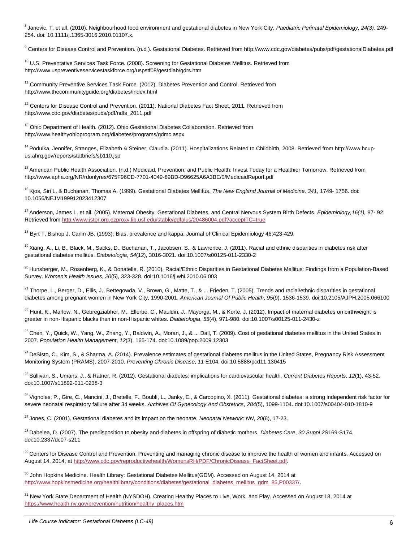8 Janevic, T. et all. (2010). Neighbourhood food environment and gestational diabetes in New York City. *Paediatric Perinatal Epidemiology, 24(3),* 249- 254. doi: 10.1111/j.1365-3016.2010.01107.x.

9 Centers for Disease Control and Prevention. (n.d.). Gestational Diabetes. Retrieved from http://www.cdc.gov/diabetes/pubs/pdf/gestationalDiabetes.pdf

<sup>10</sup> U.S. Preventative Services Task Force. (2008). Screening for Gestational Diabetes Mellitus. Retrieved from http://www.uspreventiveservicestaskforce.org/uspstf08/gestdiab/gdrs.htm

<sup>11</sup> Community Preventive Services Task Force. (2012). Diabetes Prevention and Control. Retrieved from http://www.thecommunityguide.org/diabetes/index.html

 $12$  Centers for Disease Control and Prevention. (2011). National Diabetes Fact Sheet, 2011. Retrieved from http://www.cdc.gov/diabetes/pubs/pdf/ndfs\_2011.pdf

<sup>13</sup> Ohio Department of Health. (2012). Ohio Gestational Diabetes Collaboration. Retrieved from http://www.healthyohioprogram.org/diabetes/programs/gdmc.aspx

<sup>14</sup> Podulka, Jennifer, Stranges, Elizabeth & Steiner, Claudia, (2011). Hospitalizations Related to Childbirth, 2008. Retrieved from http://www.hcupus.ahrq.gov/reports/statbriefs/sb110.jsp

<sup>15</sup> American Public Health Association. (n.d.) Medicaid, Prevention, and Public Health: Invest Today for a Healthier Tomorrow. Retrieved from http://www.apha.org/NR/rdonlyres/675F96CD-7701-4049-89BD-D96625A6A3BE/0/MedicaidReport.pdf

<sup>16</sup> Kjos, Siri L. & Buchanan, Thomas A. (1999). Gestational Diabetes Mellitus. *The New England Journal of Medicine, 341*, 1749- 1756. doi: 10.1056/NEJM199912023412307

<sup>17</sup> Anderson, James L. et all. (2005). Maternal Obesity, Gestational Diabetes, and Central Nervous System Birth Defects. *Epidemiology, 16(1), 87-92.* Retrieved fro[m http://www.jstor.org.ezproxy.lib.usf.edu/stable/pdfplus/20486004.pdf?acceptTC=true](http://www.jstor.org.ezproxy.lib.usf.edu/stable/pdfplus/20486004.pdf?acceptTC=true)

 $18$  Byrt T, Bishop J, Carlin JB. (1993): Bias, prevalence and kappa. Journal of Clinical Epidemiology 46:423-429.

<sup>19</sup>Xiang, A., Li, B., Black, M., Sacks, D., Buchanan, T., Jacobsen, S., & Lawrence, J. (2011). Racial and ethnic disparities in diabetes risk after gestational diabetes mellitus. *Diabetologia*, *54*(12), 3016-3021. doi:10.1007/s00125-011-2330-2

<sup>20</sup> Hunsberger, M., Rosenberg, K., & Donatelle, R. (2010). Racial/Ethnic Disparities in Gestational Diabetes Mellitus: Findings from a Population-Based Survey. *Women's Health Issues*, *20*(5), 323-328. doi:10.1016/j.whi.2010.06.003

<sup>21</sup> Thorpe, L., Berger, D., Ellis, J., Bettegowda, V., Brown, G., Matte, T., & ... Frieden, T. (2005). Trends and racial/ethnic disparities in gestational diabetes among pregnant women in New York City, 1990-2001. *American Journal Of Public Health*, *95*(9), 1536-1539. doi:10.2105/AJPH.2005.066100

 $^{22}$  Hunt, K., Marlow, N., Gebregziabher, M., Ellerbe, C., Mauldin, J., Mayorga, M., & Korte, J. (2012). Impact of maternal diabetes on birthweight is greater in non-Hispanic blacks than in non-Hispanic whites. *Diabetologia*, *55*(4), 971-980. doi:10.1007/s00125-011-2430-z

 $^{23}$ Chen, Y., Quick, W., Yang, W., Zhang, Y., Baldwin, A., Moran, J., & ... Dall, T. (2009). Cost of gestational diabetes mellitus in the United States in 2007. *Population Health Management*, *12*(3), 165-174. doi:10.1089/pop.2009.12303

<sup>24</sup> DeSisto, C., Kim, S., & Sharma, A. (2014). Prevalence estimates of gestational diabetes mellitus in the United States, Pregnancy Risk Assessment Monitoring System (PRAMS), 2007-2010. *Preventing Chronic Disease*, *11* E104. doi:10.5888/pcd11.130415

<sup>25</sup>Sullivan, S., Umans, J., & Ratner, R. (2012). Gestational diabetes: implications for cardiovascular health. *Current Diabetes Reports*, *12*(1), 43-52. doi:10.1007/s11892-011-0238-3

 $^{26}$  Vignoles, P., Gire, C., Mancini, J., Bretelle, F., Boubli, L., Janky, E., & Carcopino, X. (2011). Gestational diabetes: a strong independent risk factor for severe neonatal respiratory failure after 34 weeks. *Archives Of Gynecology And Obstetrics*, *284*(5), 1099-1104. doi:10.1007/s00404-010-1810-9

<sup>27</sup>Jones, C. (2001). Gestational diabetes and its impact on the neonate. *Neonatal Network: NN*, *20*(6), 17-23.

<sup>28</sup>Dabelea, D. (2007). The predisposition to obesity and diabetes in offspring of diabetic mothers. *Diabetes Care*, *30 Suppl 2*S169-S174. doi:10.2337/dc07-s211

<sup>29</sup> Centers for Disease Control and Prevention. Preventing and managing chronic disease to improve the health of women and infants. Accessed on August 14, 2014, a[t http://www.cdc.gov/reproductivehealth/WomensRH/PDF/ChronicDisease\\_FactSheet.pdf.](http://www.cdc.gov/reproductivehealth/WomensRH/PDF/ChronicDisease_FactSheet.pdf) 

<sup>30</sup> John Hopkins Medicine. Health Library: Gestational Diabetes Mellitus(GDM). Accessed on August 14, 2014 at [http://www.hopkinsmedicine.org/healthlibrary/conditions/diabetes/gestational\\_diabetes\\_mellitus\\_gdm\\_85,P00337/.](http://www.hopkinsmedicine.org/healthlibrary/conditions/diabetes/gestational_diabetes_mellitus_gdm_85,P00337/)

<sup>31</sup> New York State Department of Health (NYSDOH). Creating Healthy Places to Live, Work, and Play. Accessed on August 18, 2014 at [https://www.health.ny.gov/prevention/nutrition/healthy\\_places.htm](https://www.health.ny.gov/prevention/nutrition/healthy_places.htm)